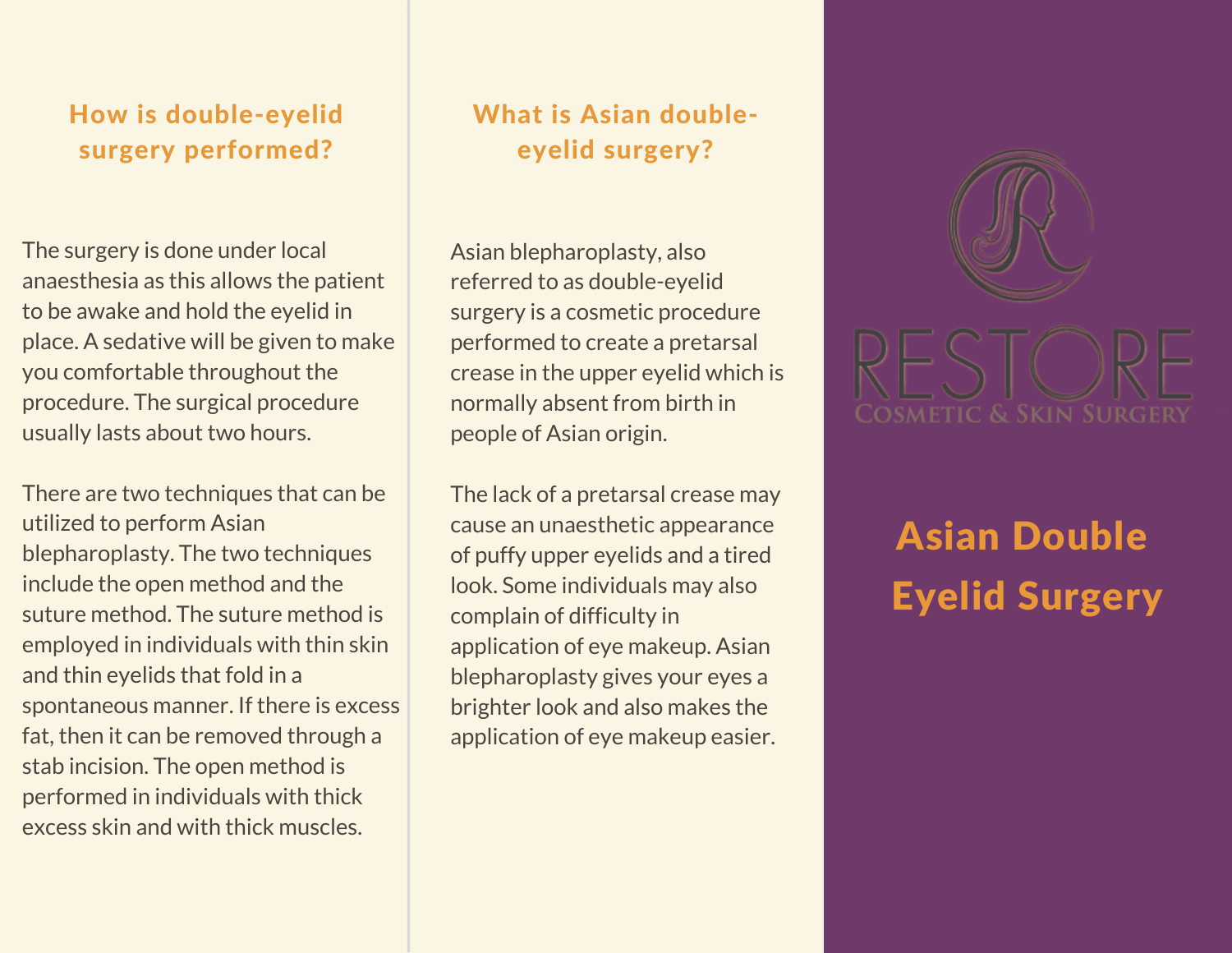## How is double-eyelid surgery performed?

The surgery is done under local anaesthesia as this allows the patient to be awake and hold the eyelid in place. A sedative will be given to make you comfortable throughout the procedure. The surgical procedure usually lasts about two hours.

There are two techniques that can be utilized to perform Asian blepharoplasty. The two techniques include the open method and the suture method. The suture method is employed in individuals with thin skin and thin eyelids that fold in a spontaneous manner. If there is excess fat, then it can be removed through a stab incision. The open method is performed in individuals with thick excess skin and with thick muscles.

## What is Asian doubleeyelid surgery?

Asian blepharoplasty, also referred to as double-eyelid surgery is a cosmetic procedure performed to create a pretarsal crease in the upper eyelid which is normally absent from birth in people of Asian origin.

The lack of a pretarsal crease may cause an unaesthetic appearance of puffy upper eyelids and a tired look. Some individuals may also complain of difficulty in application of eye makeup. Asian blepharoplasty gives your eyes a brighter look and also makes the application of eye makeup easier.



# Asian Double Eyelid Surgery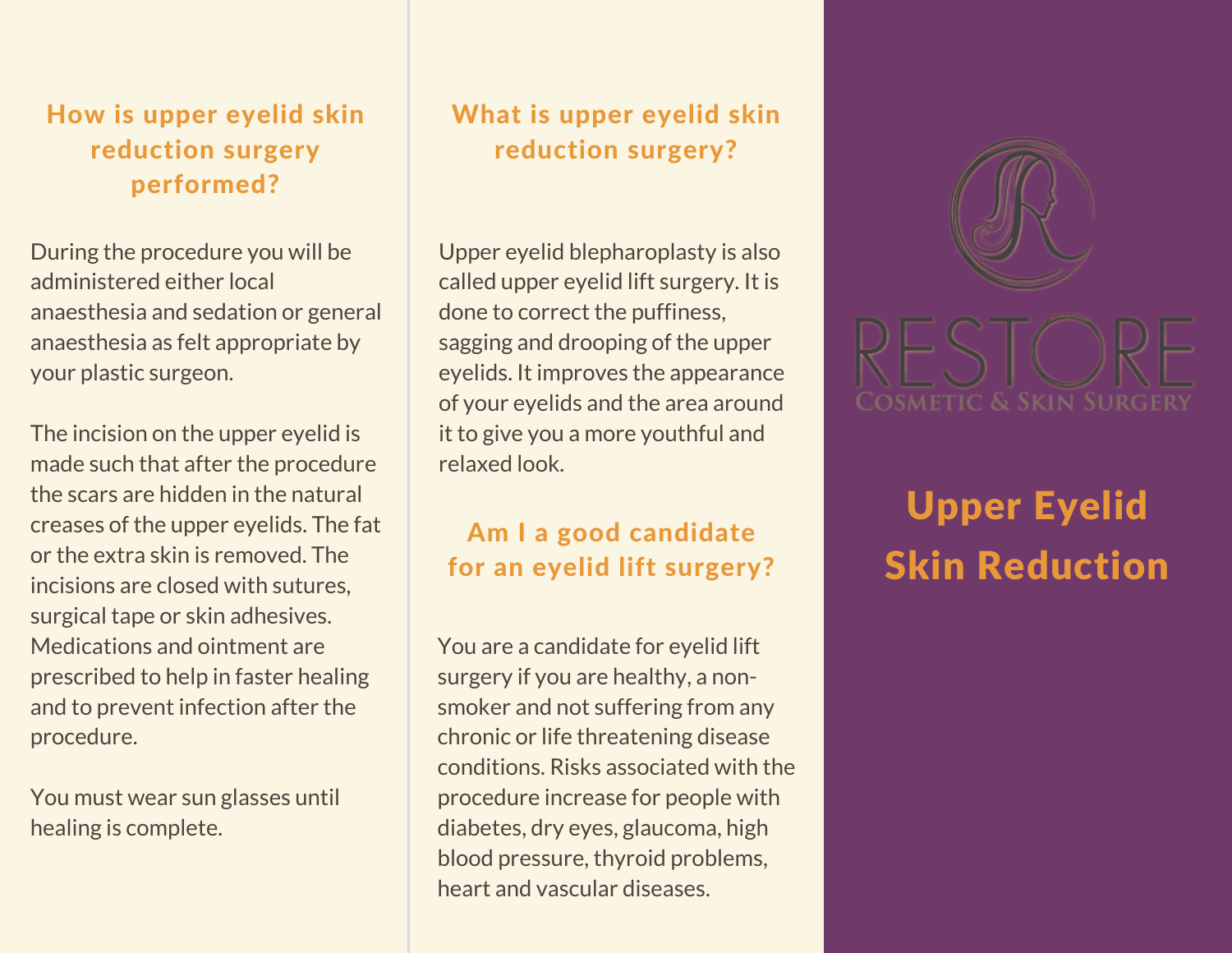## How is upper eyelid skin reduction surgery performed?

During the procedure you will be administered either local anaesthesia and sedation or general anaesthesia as felt appropriate by your plastic surgeon.

The incision on the upper eyelid is made such that after the procedure the scars are hidden in the natural creases of the upper eyelids. The fat or the extra skin is removed. The incisions are closed with sutures, surgical tape or skin adhesives. Medications and ointment are prescribed to help in faster healing and to prevent infection after the procedure.

You must wear sun glasses until healing is complete.

## What is upper eyelid skin reduction surgery?

Upper eyelid blepharoplasty is also called upper eyelid lift surgery. It is done to correct the puffiness, sagging and drooping of the upper eyelids. It improves the appearance of your eyelids and the area around it to give you a more youthful and relaxed look.

# Am I a good candidate for an eyelid lift surgery?

You are a candidate for eyelid lift surgery if you are healthy, a nonsmoker and not suffering from any chronic or life threatening disease conditions. Risks associated with the procedure increase for people with diabetes, dry eyes, glaucoma, high blood pressure, thyroid problems, heart and vascular diseases.



# Upper Eyelid Skin Reduction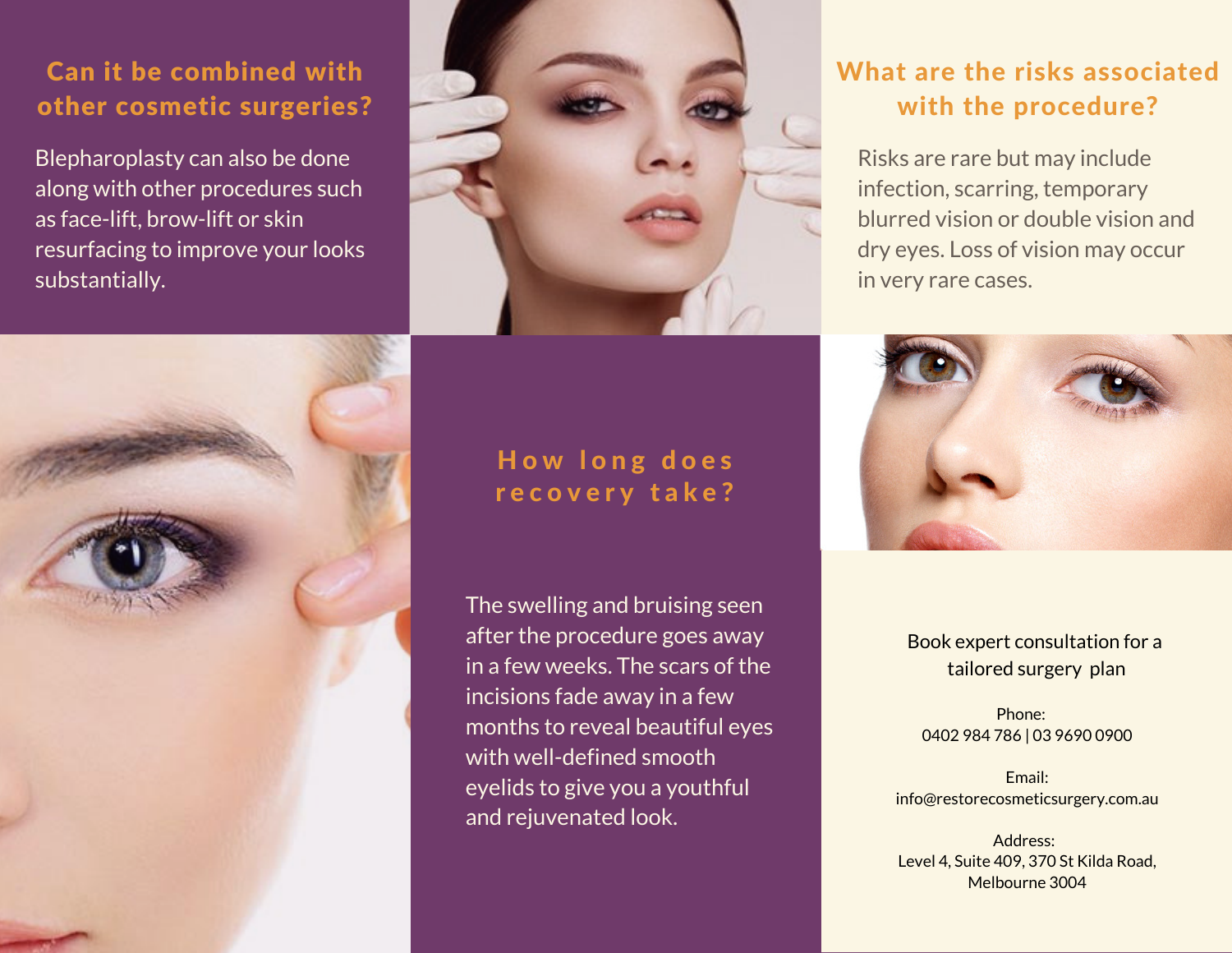## Can it be combined with other cosmetic surgeries?

Blepharoplasty can also be done along with other procedures such as face-lift, brow-lift or skin resurfacing to improve your looks substantially.



## How long does recovery take?

The swelling and bruising seen after the procedure goes away in a few weeks. The scars of the incisions fade away in a few months to reveal beautiful eyes with well-defined smooth eyelids to give you a youthful and rejuvenated look.

# What are the risks associated with the procedure?

Risks are rare but may include infection, scarring, temporary blurred vision or double vision and dry eyes. Loss of vision may occur in very rare cases.



#### Book expert consultation for a tailored surgery plan

Phone: 0402 984 786 | 03 9690 0900

Email: info@restorecosmeticsurgery.com.au

Address: Level 4, Suite 409, 370 St Kilda Road, Melbourne 3004

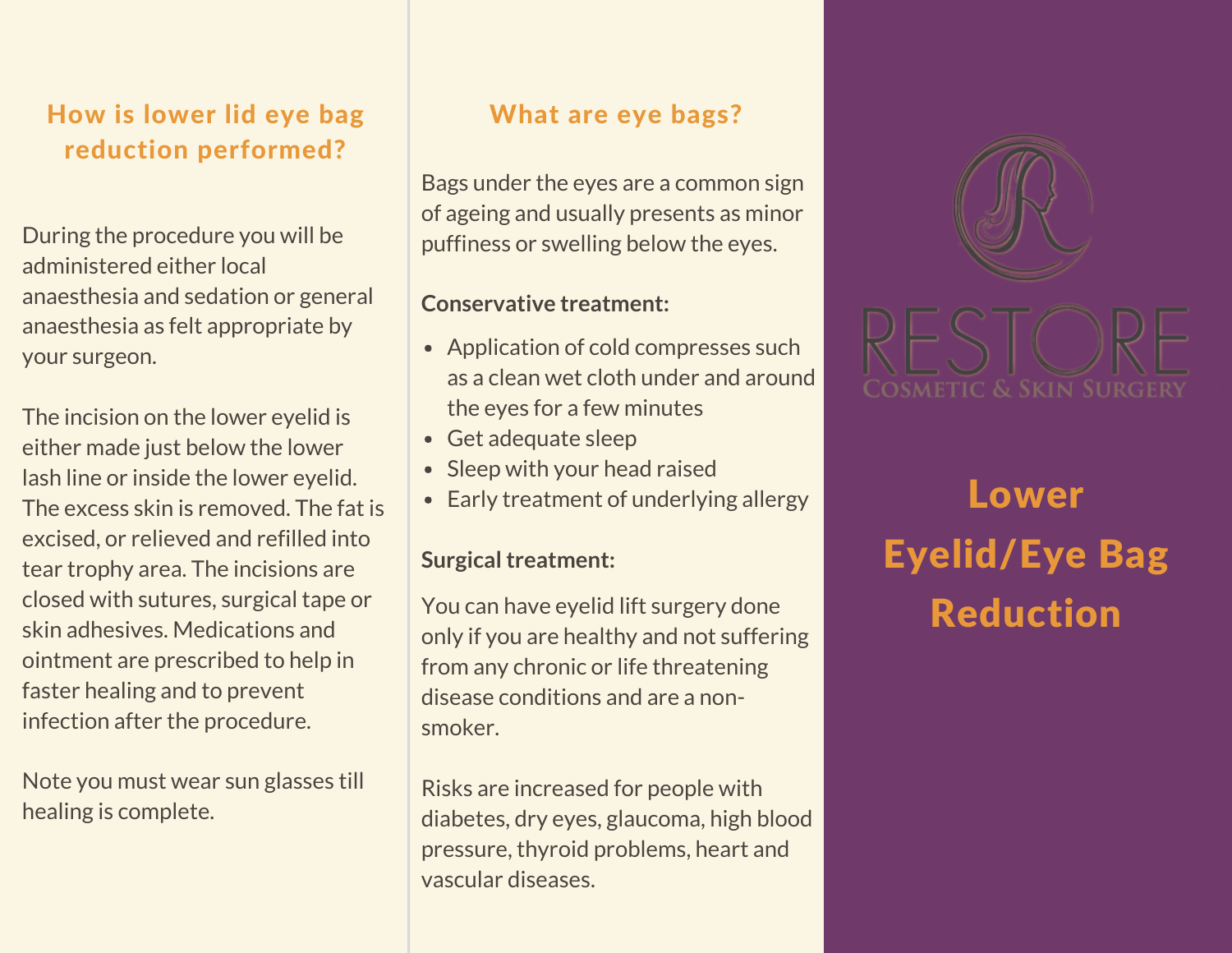## How is lower lid eye bag reduction performed?

During the procedure you will be administered either local anaesthesia and sedation or general anaesthesia as felt appropriate by your surgeon.

The incision on the lower eyelid is either made just below the lower lash line or inside the lower eyelid. The excess skin is removed. The fat is excised, or relieved and refilled into tear trophy area. The incisions are closed with sutures, surgical tape or skin adhesives. Medications and ointment are prescribed to help in faster healing and to prevent infection after the procedure.

Note you must wear sun glasses till healing is complete.

### What are eye bags?

Bags under the eyes are a common sign of ageing and usually presents as minor puffiness or swelling below the eyes.

#### **Conservative treatment:**

- Application of cold compresses such as a clean wet cloth under and around the eyes for a few minutes
- Get adequate sleep
- Sleep with your head raised
- Early treatment of underlying allergy

#### **Surgical treatment:**

You can have eyelid lift surgery done only if you are healthy and not suffering from any chronic or life threatening disease conditions and are a nonsmoker.

Risks are increased for people with diabetes, dry eyes, glaucoma, high blood pressure, thyroid problems, heart and vascular diseases.



Lower Eyelid/Eye Bag Reduction